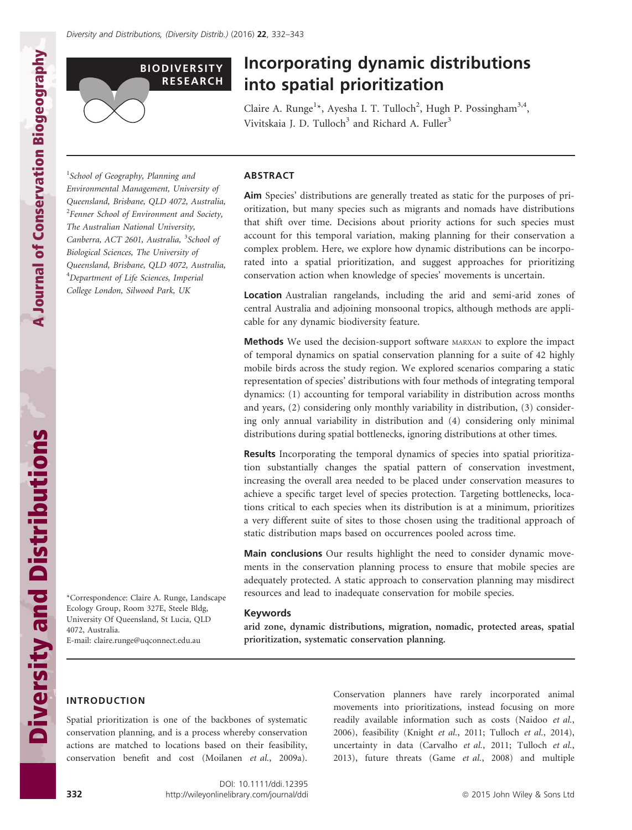

# Incorporating dynamic distributions into spatial prioritization

Claire A. Runge<sup>1</sup>\*, Ayesha I. T. Tulloch<sup>2</sup>, Hugh P. Possingham<sup>3,4</sup>, Vivitskaia J. D. Tulloch<sup>3</sup> and Richard A. Fuller<sup>3</sup>

**A Journal of Conservation Biogeography** A Journal of Conservation Biogeography

<sup>1</sup>School of Geography, Planning and Environmental Management, University of Queensland, Brisbane, QLD 4072, Australia, <sup>2</sup> Fenner School of Environment and Society, The Australian National University, Canberra, ACT 2601, Australia, <sup>3</sup>School of Biological Sciences, The University of Queensland, Brisbane, QLD 4072, Australia, 4 Department of Life Sciences, Imperial College London, Silwood Park, UK

# **ABSTRACT**

Aim Species' distributions are generally treated as static for the purposes of prioritization, but many species such as migrants and nomads have distributions that shift over time. Decisions about priority actions for such species must account for this temporal variation, making planning for their conservation a complex problem. Here, we explore how dynamic distributions can be incorporated into a spatial prioritization, and suggest approaches for prioritizing conservation action when knowledge of species' movements is uncertain.

Location Australian rangelands, including the arid and semi-arid zones of central Australia and adjoining monsoonal tropics, although methods are applicable for any dynamic biodiversity feature.

Methods We used the decision-support software MARXAN to explore the impact of temporal dynamics on spatial conservation planning for a suite of 42 highly mobile birds across the study region. We explored scenarios comparing a static representation of species' distributions with four methods of integrating temporal dynamics: (1) accounting for temporal variability in distribution across months and years, (2) considering only monthly variability in distribution, (3) considering only annual variability in distribution and (4) considering only minimal distributions during spatial bottlenecks, ignoring distributions at other times.

Results Incorporating the temporal dynamics of species into spatial prioritization substantially changes the spatial pattern of conservation investment, increasing the overall area needed to be placed under conservation measures to achieve a specific target level of species protection. Targeting bottlenecks, locations critical to each species when its distribution is at a minimum, prioritizes a very different suite of sites to those chosen using the traditional approach of static distribution maps based on occurrences pooled across time.

Main conclusions Our results highlight the need to consider dynamic movements in the conservation planning process to ensure that mobile species are adequately protected. A static approach to conservation planning may misdirect resources and lead to inadequate conservation for mobile species.

#### Keywords

arid zone, dynamic distributions, migration, nomadic, protected areas, spatial prioritization, systematic conservation planning.

4072, Australia.

\*Correspondence: Claire A. Runge, Landscape Ecology Group, Room 327E, Steele Bldg, University Of Queensland, St Lucia, QLD

E-mail: claire.runge@uqconnect.edu.au

Spatial prioritization is one of the backbones of systematic conservation planning, and is a process whereby conservation actions are matched to locations based on their feasibility, conservation benefit and cost (Moilanen et al., 2009a). Conservation planners have rarely incorporated animal movements into prioritizations, instead focusing on more readily available information such as costs (Naidoo et al., 2006), feasibility (Knight et al., 2011; Tulloch et al., 2014), uncertainty in data (Carvalho et al., 2011; Tulloch et al., 2013), future threats (Game et al., 2008) and multiple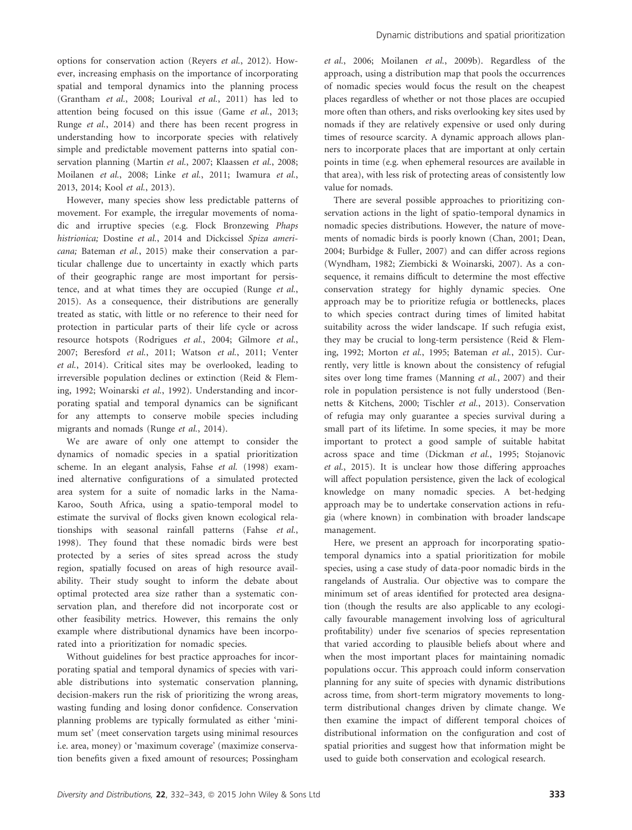options for conservation action (Reyers et al., 2012). However, increasing emphasis on the importance of incorporating spatial and temporal dynamics into the planning process (Grantham et al., 2008; Lourival et al., 2011) has led to attention being focused on this issue (Game et al., 2013; Runge et al., 2014) and there has been recent progress in understanding how to incorporate species with relatively simple and predictable movement patterns into spatial conservation planning (Martin et al., 2007; Klaassen et al., 2008; Moilanen et al., 2008; Linke et al., 2011; Iwamura et al., 2013, 2014; Kool et al., 2013).

However, many species show less predictable patterns of movement. For example, the irregular movements of nomadic and irruptive species (e.g. Flock Bronzewing Phaps histrionica; Dostine et al., 2014 and Dickcissel Spiza americana; Bateman et al., 2015) make their conservation a particular challenge due to uncertainty in exactly which parts of their geographic range are most important for persistence, and at what times they are occupied (Runge et al., 2015). As a consequence, their distributions are generally treated as static, with little or no reference to their need for protection in particular parts of their life cycle or across resource hotspots (Rodrigues et al., 2004; Gilmore et al., 2007; Beresford et al., 2011; Watson et al., 2011; Venter et al., 2014). Critical sites may be overlooked, leading to irreversible population declines or extinction (Reid & Fleming, 1992; Woinarski et al., 1992). Understanding and incorporating spatial and temporal dynamics can be significant for any attempts to conserve mobile species including migrants and nomads (Runge et al., 2014).

We are aware of only one attempt to consider the dynamics of nomadic species in a spatial prioritization scheme. In an elegant analysis, Fahse et al. (1998) examined alternative configurations of a simulated protected area system for a suite of nomadic larks in the Nama-Karoo, South Africa, using a spatio-temporal model to estimate the survival of flocks given known ecological relationships with seasonal rainfall patterns (Fahse et al., 1998). They found that these nomadic birds were best protected by a series of sites spread across the study region, spatially focused on areas of high resource availability. Their study sought to inform the debate about optimal protected area size rather than a systematic conservation plan, and therefore did not incorporate cost or other feasibility metrics. However, this remains the only example where distributional dynamics have been incorporated into a prioritization for nomadic species.

Without guidelines for best practice approaches for incorporating spatial and temporal dynamics of species with variable distributions into systematic conservation planning, decision-makers run the risk of prioritizing the wrong areas, wasting funding and losing donor confidence. Conservation planning problems are typically formulated as either 'minimum set' (meet conservation targets using minimal resources i.e. area, money) or 'maximum coverage' (maximize conservation benefits given a fixed amount of resources; Possingham et al., 2006; Moilanen et al., 2009b). Regardless of the approach, using a distribution map that pools the occurrences of nomadic species would focus the result on the cheapest places regardless of whether or not those places are occupied more often than others, and risks overlooking key sites used by nomads if they are relatively expensive or used only during times of resource scarcity. A dynamic approach allows planners to incorporate places that are important at only certain points in time (e.g. when ephemeral resources are available in that area), with less risk of protecting areas of consistently low value for nomads.

There are several possible approaches to prioritizing conservation actions in the light of spatio-temporal dynamics in nomadic species distributions. However, the nature of movements of nomadic birds is poorly known (Chan, 2001; Dean, 2004; Burbidge & Fuller, 2007) and can differ across regions (Wyndham, 1982; Ziembicki & Woinarski, 2007). As a consequence, it remains difficult to determine the most effective conservation strategy for highly dynamic species. One approach may be to prioritize refugia or bottlenecks, places to which species contract during times of limited habitat suitability across the wider landscape. If such refugia exist, they may be crucial to long-term persistence (Reid & Fleming, 1992; Morton et al., 1995; Bateman et al., 2015). Currently, very little is known about the consistency of refugial sites over long time frames (Manning et al., 2007) and their role in population persistence is not fully understood (Bennetts & Kitchens, 2000; Tischler et al., 2013). Conservation of refugia may only guarantee a species survival during a small part of its lifetime. In some species, it may be more important to protect a good sample of suitable habitat across space and time (Dickman et al., 1995; Stojanovic et al., 2015). It is unclear how those differing approaches will affect population persistence, given the lack of ecological knowledge on many nomadic species. A bet-hedging approach may be to undertake conservation actions in refugia (where known) in combination with broader landscape management.

Here, we present an approach for incorporating spatiotemporal dynamics into a spatial prioritization for mobile species, using a case study of data-poor nomadic birds in the rangelands of Australia. Our objective was to compare the minimum set of areas identified for protected area designation (though the results are also applicable to any ecologically favourable management involving loss of agricultural profitability) under five scenarios of species representation that varied according to plausible beliefs about where and when the most important places for maintaining nomadic populations occur. This approach could inform conservation planning for any suite of species with dynamic distributions across time, from short-term migratory movements to longterm distributional changes driven by climate change. We then examine the impact of different temporal choices of distributional information on the configuration and cost of spatial priorities and suggest how that information might be used to guide both conservation and ecological research.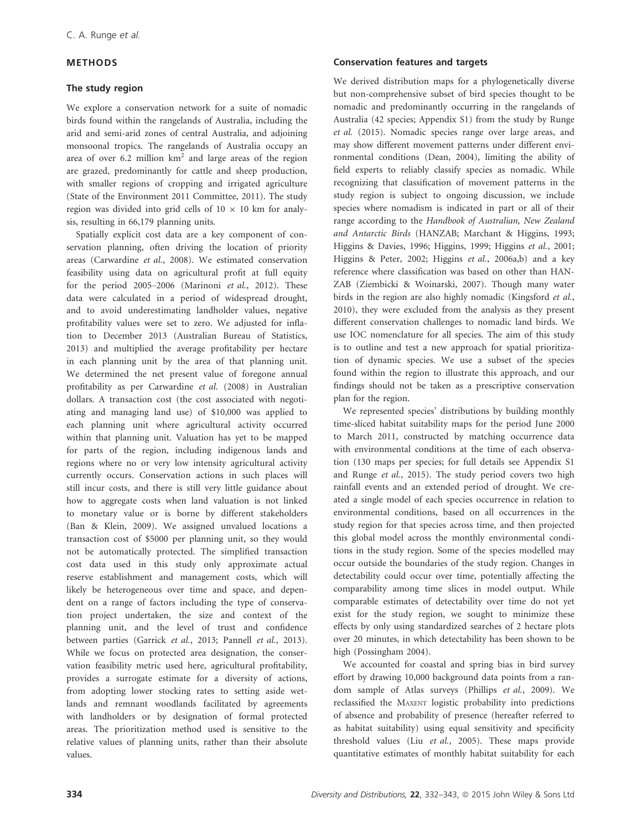# METHODS

## The study region

We explore a conservation network for a suite of nomadic birds found within the rangelands of Australia, including the arid and semi-arid zones of central Australia, and adjoining monsoonal tropics. The rangelands of Australia occupy an area of over 6.2 million  $km^2$  and large areas of the region are grazed, predominantly for cattle and sheep production, with smaller regions of cropping and irrigated agriculture (State of the Environment 2011 Committee, 2011). The study region was divided into grid cells of  $10 \times 10$  km for analysis, resulting in 66,179 planning units.

Spatially explicit cost data are a key component of conservation planning, often driving the location of priority areas (Carwardine et al., 2008). We estimated conservation feasibility using data on agricultural profit at full equity for the period 2005–2006 (Marinoni et al., 2012). These data were calculated in a period of widespread drought, and to avoid underestimating landholder values, negative profitability values were set to zero. We adjusted for inflation to December 2013 (Australian Bureau of Statistics, 2013) and multiplied the average profitability per hectare in each planning unit by the area of that planning unit. We determined the net present value of foregone annual profitability as per Carwardine et al. (2008) in Australian dollars. A transaction cost (the cost associated with negotiating and managing land use) of \$10,000 was applied to each planning unit where agricultural activity occurred within that planning unit. Valuation has yet to be mapped for parts of the region, including indigenous lands and regions where no or very low intensity agricultural activity currently occurs. Conservation actions in such places will still incur costs, and there is still very little guidance about how to aggregate costs when land valuation is not linked to monetary value or is borne by different stakeholders (Ban & Klein, 2009). We assigned unvalued locations a transaction cost of \$5000 per planning unit, so they would not be automatically protected. The simplified transaction cost data used in this study only approximate actual reserve establishment and management costs, which will likely be heterogeneous over time and space, and dependent on a range of factors including the type of conservation project undertaken, the size and context of the planning unit, and the level of trust and confidence between parties (Garrick et al., 2013; Pannell et al., 2013). While we focus on protected area designation, the conservation feasibility metric used here, agricultural profitability, provides a surrogate estimate for a diversity of actions, from adopting lower stocking rates to setting aside wetlands and remnant woodlands facilitated by agreements with landholders or by designation of formal protected areas. The prioritization method used is sensitive to the relative values of planning units, rather than their absolute values.

#### Conservation features and targets

We derived distribution maps for a phylogenetically diverse but non-comprehensive subset of bird species thought to be nomadic and predominantly occurring in the rangelands of Australia (42 species; Appendix S1) from the study by Runge et al. (2015). Nomadic species range over large areas, and may show different movement patterns under different environmental conditions (Dean, 2004), limiting the ability of field experts to reliably classify species as nomadic. While recognizing that classification of movement patterns in the study region is subject to ongoing discussion, we include species where nomadism is indicated in part or all of their range according to the Handbook of Australian, New Zealand and Antarctic Birds (HANZAB; Marchant & Higgins, 1993; Higgins & Davies, 1996; Higgins, 1999; Higgins et al., 2001; Higgins & Peter, 2002; Higgins et al., 2006a,b) and a key reference where classification was based on other than HAN-ZAB (Ziembicki & Woinarski, 2007). Though many water birds in the region are also highly nomadic (Kingsford et al., 2010), they were excluded from the analysis as they present different conservation challenges to nomadic land birds. We use IOC nomenclature for all species. The aim of this study is to outline and test a new approach for spatial prioritization of dynamic species. We use a subset of the species found within the region to illustrate this approach, and our findings should not be taken as a prescriptive conservation plan for the region.

We represented species' distributions by building monthly time-sliced habitat suitability maps for the period June 2000 to March 2011, constructed by matching occurrence data with environmental conditions at the time of each observation (130 maps per species; for full details see Appendix S1 and Runge et al., 2015). The study period covers two high rainfall events and an extended period of drought. We created a single model of each species occurrence in relation to environmental conditions, based on all occurrences in the study region for that species across time, and then projected this global model across the monthly environmental conditions in the study region. Some of the species modelled may occur outside the boundaries of the study region. Changes in detectability could occur over time, potentially affecting the comparability among time slices in model output. While comparable estimates of detectability over time do not yet exist for the study region, we sought to minimize these effects by only using standardized searches of 2 hectare plots over 20 minutes, in which detectability has been shown to be high (Possingham 2004).

We accounted for coastal and spring bias in bird survey effort by drawing 10,000 background data points from a random sample of Atlas surveys (Phillips et al., 2009). We reclassified the MAXENT logistic probability into predictions of absence and probability of presence (hereafter referred to as habitat suitability) using equal sensitivity and specificity threshold values (Liu et al., 2005). These maps provide quantitative estimates of monthly habitat suitability for each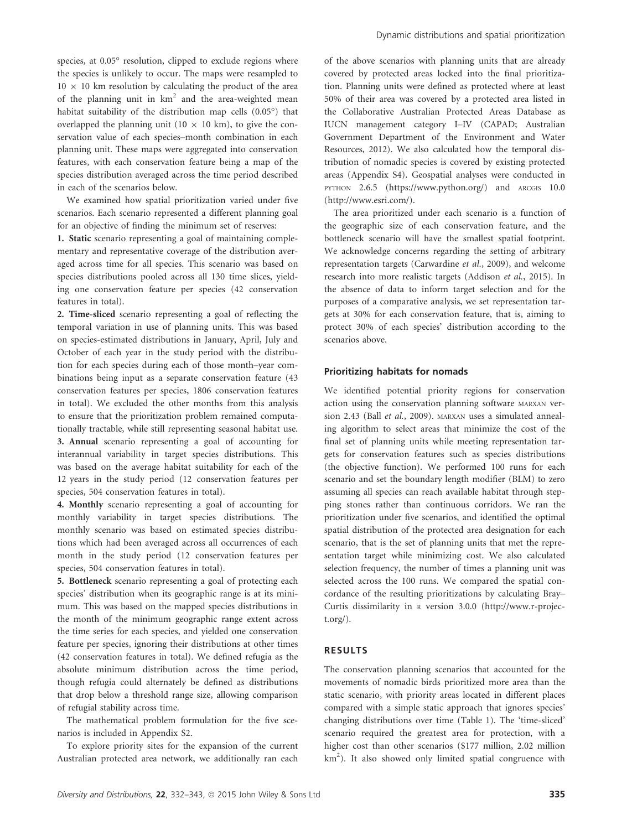species, at 0.05° resolution, clipped to exclude regions where the species is unlikely to occur. The maps were resampled to  $10 \times 10$  km resolution by calculating the product of the area of the planning unit in  $km^2$  and the area-weighted mean habitat suitability of the distribution map cells (0.05°) that overlapped the planning unit (10  $\times$  10 km), to give the conservation value of each species–month combination in each planning unit. These maps were aggregated into conservation features, with each conservation feature being a map of the species distribution averaged across the time period described in each of the scenarios below.

We examined how spatial prioritization varied under five scenarios. Each scenario represented a different planning goal for an objective of finding the minimum set of reserves:

1. Static scenario representing a goal of maintaining complementary and representative coverage of the distribution averaged across time for all species. This scenario was based on species distributions pooled across all 130 time slices, yielding one conservation feature per species (42 conservation features in total).

2. Time-sliced scenario representing a goal of reflecting the temporal variation in use of planning units. This was based on species-estimated distributions in January, April, July and October of each year in the study period with the distribution for each species during each of those month–year combinations being input as a separate conservation feature (43 conservation features per species, 1806 conservation features in total). We excluded the other months from this analysis to ensure that the prioritization problem remained computationally tractable, while still representing seasonal habitat use. 3. Annual scenario representing a goal of accounting for interannual variability in target species distributions. This was based on the average habitat suitability for each of the 12 years in the study period (12 conservation features per species, 504 conservation features in total).

4. Monthly scenario representing a goal of accounting for monthly variability in target species distributions. The monthly scenario was based on estimated species distributions which had been averaged across all occurrences of each month in the study period (12 conservation features per species, 504 conservation features in total).

5. Bottleneck scenario representing a goal of protecting each species' distribution when its geographic range is at its minimum. This was based on the mapped species distributions in the month of the minimum geographic range extent across the time series for each species, and yielded one conservation feature per species, ignoring their distributions at other times (42 conservation features in total). We defined refugia as the absolute minimum distribution across the time period, though refugia could alternately be defined as distributions that drop below a threshold range size, allowing comparison of refugial stability across time.

The mathematical problem formulation for the five scenarios is included in Appendix S2.

To explore priority sites for the expansion of the current Australian protected area network, we additionally ran each of the above scenarios with planning units that are already covered by protected areas locked into the final prioritization. Planning units were defined as protected where at least 50% of their area was covered by a protected area listed in the Collaborative Australian Protected Areas Database as IUCN management category I–IV (CAPAD; Australian Government Department of the Environment and Water Resources, 2012). We also calculated how the temporal distribution of nomadic species is covered by existing protected areas (Appendix S4). Geospatial analyses were conducted in PYTHON 2.6.5 (<https://www.python.org/>) and ARCGIS 10.0 ([http://www.esri.com/\)](http://www.esri.com/).

The area prioritized under each scenario is a function of the geographic size of each conservation feature, and the bottleneck scenario will have the smallest spatial footprint. We acknowledge concerns regarding the setting of arbitrary representation targets (Carwardine et al., 2009), and welcome research into more realistic targets (Addison et al., 2015). In the absence of data to inform target selection and for the purposes of a comparative analysis, we set representation targets at 30% for each conservation feature, that is, aiming to protect 30% of each species' distribution according to the scenarios above.

#### Prioritizing habitats for nomads

We identified potential priority regions for conservation action using the conservation planning software MARXAN version 2.43 (Ball et al., 2009). MARXAN uses a simulated annealing algorithm to select areas that minimize the cost of the final set of planning units while meeting representation targets for conservation features such as species distributions (the objective function). We performed 100 runs for each scenario and set the boundary length modifier (BLM) to zero assuming all species can reach available habitat through stepping stones rather than continuous corridors. We ran the prioritization under five scenarios, and identified the optimal spatial distribution of the protected area designation for each scenario, that is the set of planning units that met the representation target while minimizing cost. We also calculated selection frequency, the number of times a planning unit was selected across the 100 runs. We compared the spatial concordance of the resulting prioritizations by calculating Bray– Curtis dissimilarity in <sup>R</sup> version 3.0.0 ([http://www.r-projec](http://www.r-project.org/)[t.org/](http://www.r-project.org/)).

## RESULTS

The conservation planning scenarios that accounted for the movements of nomadic birds prioritized more area than the static scenario, with priority areas located in different places compared with a simple static approach that ignores species' changing distributions over time (Table 1). The 'time-sliced' scenario required the greatest area for protection, with a higher cost than other scenarios (\$177 million, 2.02 million  $km<sup>2</sup>$ ). It also showed only limited spatial congruence with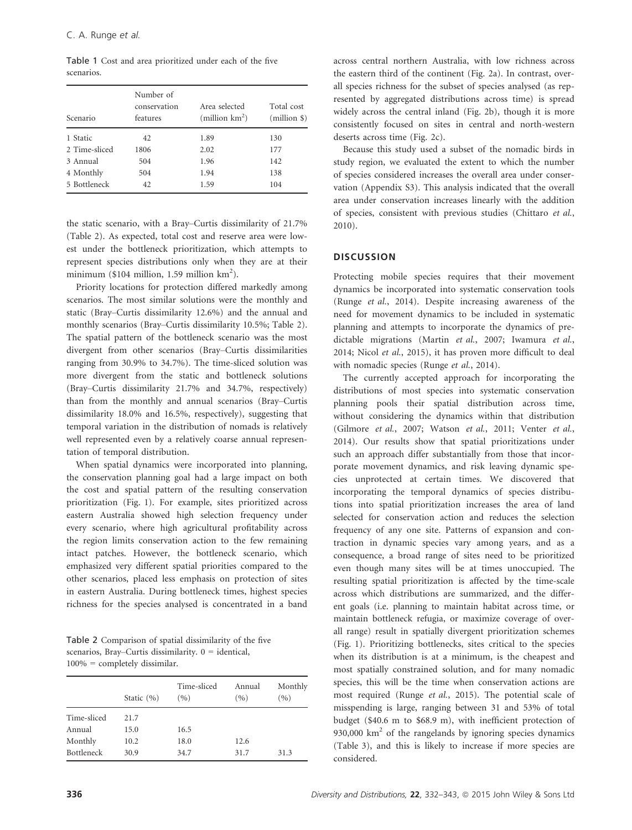Table 1 Cost and area prioritized under each of the five scenarios.

| Scenario      | Number of<br>conservation<br>features | Area selected<br>(million km <sup>2</sup> ) | Total cost<br>$(million \$ |
|---------------|---------------------------------------|---------------------------------------------|----------------------------|
| 1 Static      | 42                                    | 1.89                                        | 130                        |
| 2 Time-sliced | 1806                                  | 2.02                                        | 177                        |
| 3 Annual      | 504                                   | 1.96                                        | 142                        |
| 4 Monthly     | 504                                   | 1.94                                        | 138                        |
| 5 Bottleneck  | 42                                    | 1.59                                        | 104                        |

the static scenario, with a Bray–Curtis dissimilarity of 21.7% (Table 2). As expected, total cost and reserve area were lowest under the bottleneck prioritization, which attempts to represent species distributions only when they are at their minimum (\$104 million, 1.59 million  $km<sup>2</sup>$ ).

Priority locations for protection differed markedly among scenarios. The most similar solutions were the monthly and static (Bray–Curtis dissimilarity 12.6%) and the annual and monthly scenarios (Bray–Curtis dissimilarity 10.5%; Table 2). The spatial pattern of the bottleneck scenario was the most divergent from other scenarios (Bray–Curtis dissimilarities ranging from 30.9% to 34.7%). The time-sliced solution was more divergent from the static and bottleneck solutions (Bray–Curtis dissimilarity 21.7% and 34.7%, respectively) than from the monthly and annual scenarios (Bray–Curtis dissimilarity 18.0% and 16.5%, respectively), suggesting that temporal variation in the distribution of nomads is relatively well represented even by a relatively coarse annual representation of temporal distribution.

When spatial dynamics were incorporated into planning, the conservation planning goal had a large impact on both the cost and spatial pattern of the resulting conservation prioritization (Fig. 1). For example, sites prioritized across eastern Australia showed high selection frequency under every scenario, where high agricultural profitability across the region limits conservation action to the few remaining intact patches. However, the bottleneck scenario, which emphasized very different spatial priorities compared to the other scenarios, placed less emphasis on protection of sites in eastern Australia. During bottleneck times, highest species richness for the species analysed is concentrated in a band

Table 2 Comparison of spatial dissimilarity of the five scenarios, Bray–Curtis dissimilarity.  $0 =$  identical, 100% = completely dissimilar.

|                   | Static $(\% )$ | Time-sliced<br>(9/0) | Annual<br>(9/0) | Monthly<br>(9/0) |
|-------------------|----------------|----------------------|-----------------|------------------|
| Time-sliced       | 21.7           |                      |                 |                  |
| Annual            | 15.0           | 16.5                 |                 |                  |
| Monthly           | 10.2           | 18.0                 | 12.6            |                  |
| <b>Bottleneck</b> | 30.9           | 34.7                 | 31.7            | 31.3             |

across central northern Australia, with low richness across the eastern third of the continent (Fig. 2a). In contrast, overall species richness for the subset of species analysed (as represented by aggregated distributions across time) is spread widely across the central inland (Fig. 2b), though it is more consistently focused on sites in central and north-western deserts across time (Fig. 2c).

Because this study used a subset of the nomadic birds in study region, we evaluated the extent to which the number of species considered increases the overall area under conservation (Appendix S3). This analysis indicated that the overall area under conservation increases linearly with the addition of species, consistent with previous studies (Chittaro et al., 2010).

#### **DISCUSSION**

Protecting mobile species requires that their movement dynamics be incorporated into systematic conservation tools (Runge et al., 2014). Despite increasing awareness of the need for movement dynamics to be included in systematic planning and attempts to incorporate the dynamics of predictable migrations (Martin et al., 2007; Iwamura et al., 2014; Nicol et al., 2015), it has proven more difficult to deal with nomadic species (Runge et al., 2014).

The currently accepted approach for incorporating the distributions of most species into systematic conservation planning pools their spatial distribution across time, without considering the dynamics within that distribution (Gilmore et al., 2007; Watson et al., 2011; Venter et al., 2014). Our results show that spatial prioritizations under such an approach differ substantially from those that incorporate movement dynamics, and risk leaving dynamic species unprotected at certain times. We discovered that incorporating the temporal dynamics of species distributions into spatial prioritization increases the area of land selected for conservation action and reduces the selection frequency of any one site. Patterns of expansion and contraction in dynamic species vary among years, and as a consequence, a broad range of sites need to be prioritized even though many sites will be at times unoccupied. The resulting spatial prioritization is affected by the time-scale across which distributions are summarized, and the different goals (i.e. planning to maintain habitat across time, or maintain bottleneck refugia, or maximize coverage of overall range) result in spatially divergent prioritization schemes (Fig. 1). Prioritizing bottlenecks, sites critical to the species when its distribution is at a minimum, is the cheapest and most spatially constrained solution, and for many nomadic species, this will be the time when conservation actions are most required (Runge et al., 2015). The potential scale of misspending is large, ranging between 31 and 53% of total budget (\$40.6 m to \$68.9 m), with inefficient protection of 930,000  $km<sup>2</sup>$  of the rangelands by ignoring species dynamics (Table 3), and this is likely to increase if more species are considered.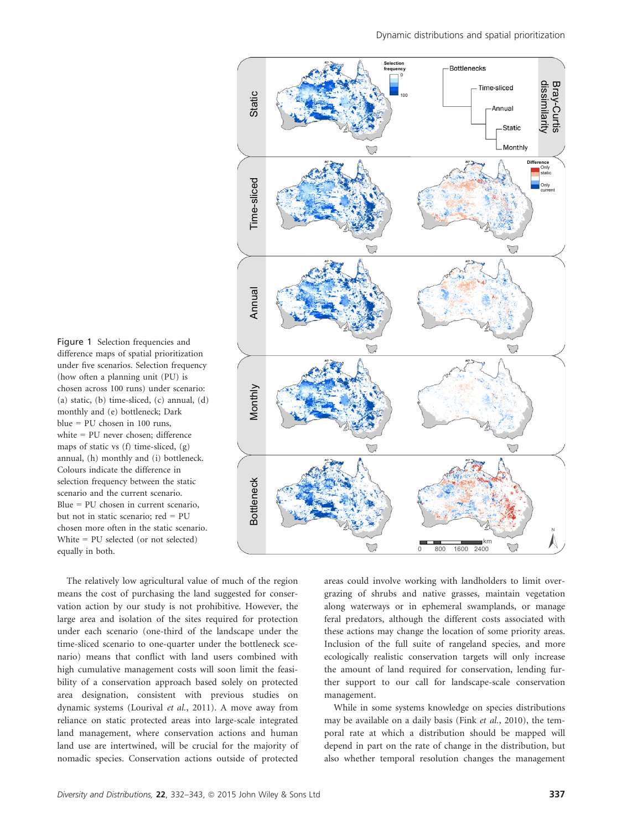

The relatively low agricultural value of much of the region means the cost of purchasing the land suggested for conservation action by our study is not prohibitive. However, the large area and isolation of the sites required for protection under each scenario (one-third of the landscape under the time-sliced scenario to one-quarter under the bottleneck scenario) means that conflict with land users combined with high cumulative management costs will soon limit the feasibility of a conservation approach based solely on protected area designation, consistent with previous studies on dynamic systems (Lourival et al., 2011). A move away from reliance on static protected areas into large-scale integrated land management, where conservation actions and human land use are intertwined, will be crucial for the majority of nomadic species. Conservation actions outside of protected



areas could involve working with landholders to limit overgrazing of shrubs and native grasses, maintain vegetation along waterways or in ephemeral swamplands, or manage feral predators, although the different costs associated with these actions may change the location of some priority areas. Inclusion of the full suite of rangeland species, and more ecologically realistic conservation targets will only increase the amount of land required for conservation, lending further support to our call for landscape-scale conservation management.

While in some systems knowledge on species distributions may be available on a daily basis (Fink et al., 2010), the temporal rate at which a distribution should be mapped will depend in part on the rate of change in the distribution, but also whether temporal resolution changes the management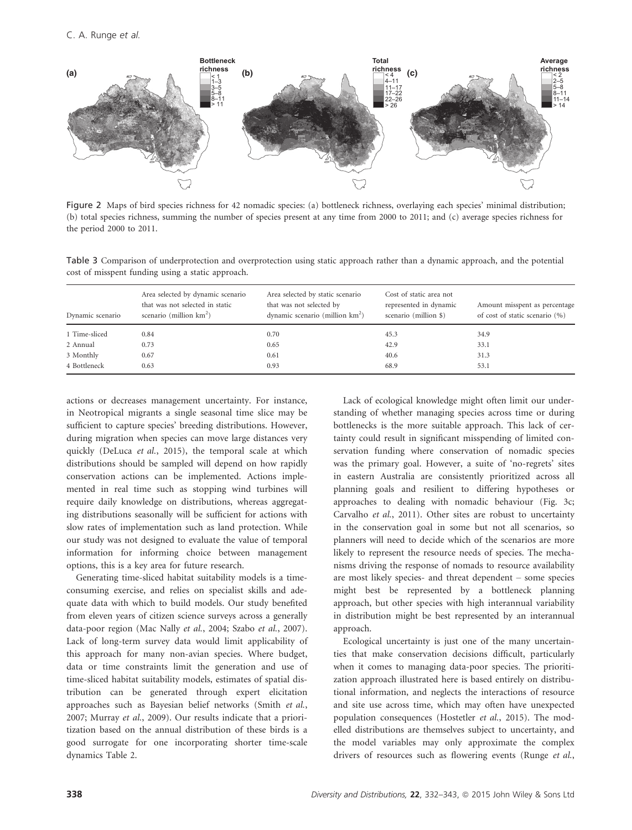

Figure 2 Maps of bird species richness for 42 nomadic species: (a) bottleneck richness, overlaying each species' minimal distribution; (b) total species richness, summing the number of species present at any time from 2000 to 2011; and (c) average species richness for the period 2000 to 2011.

Table 3 Comparison of underprotection and overprotection using static approach rather than a dynamic approach, and the potential cost of misspent funding using a static approach.

| Dynamic scenario | Area selected by dynamic scenario<br>that was not selected in static<br>scenario (million $km^2$ ) | Area selected by static scenario<br>that was not selected by<br>dynamic scenario (million $km^2$ ) | Cost of static area not<br>represented in dynamic<br>scenario (million \$) | Amount misspent as percentage<br>of cost of static scenario (%) |
|------------------|----------------------------------------------------------------------------------------------------|----------------------------------------------------------------------------------------------------|----------------------------------------------------------------------------|-----------------------------------------------------------------|
| 1 Time-sliced    | 0.84                                                                                               | 0.70                                                                                               | 45.3                                                                       | 34.9                                                            |
| 2 Annual         | 0.73                                                                                               | 0.65                                                                                               | 42.9                                                                       | 33.1                                                            |
| 3 Monthly        | 0.67                                                                                               | 0.61                                                                                               | 40.6                                                                       | 31.3                                                            |
| 4 Bottleneck     | 0.63                                                                                               | 0.93                                                                                               | 68.9                                                                       | 53.1                                                            |

actions or decreases management uncertainty. For instance, in Neotropical migrants a single seasonal time slice may be sufficient to capture species' breeding distributions. However, during migration when species can move large distances very quickly (DeLuca et al., 2015), the temporal scale at which distributions should be sampled will depend on how rapidly conservation actions can be implemented. Actions implemented in real time such as stopping wind turbines will require daily knowledge on distributions, whereas aggregating distributions seasonally will be sufficient for actions with slow rates of implementation such as land protection. While our study was not designed to evaluate the value of temporal information for informing choice between management options, this is a key area for future research.

Generating time-sliced habitat suitability models is a timeconsuming exercise, and relies on specialist skills and adequate data with which to build models. Our study benefited from eleven years of citizen science surveys across a generally data-poor region (Mac Nally et al., 2004; Szabo et al., 2007). Lack of long-term survey data would limit applicability of this approach for many non-avian species. Where budget, data or time constraints limit the generation and use of time-sliced habitat suitability models, estimates of spatial distribution can be generated through expert elicitation approaches such as Bayesian belief networks (Smith et al., 2007; Murray et al., 2009). Our results indicate that a prioritization based on the annual distribution of these birds is a good surrogate for one incorporating shorter time-scale dynamics Table 2.

Lack of ecological knowledge might often limit our understanding of whether managing species across time or during bottlenecks is the more suitable approach. This lack of certainty could result in significant misspending of limited conservation funding where conservation of nomadic species was the primary goal. However, a suite of 'no-regrets' sites in eastern Australia are consistently prioritized across all planning goals and resilient to differing hypotheses or approaches to dealing with nomadic behaviour (Fig. 3c; Carvalho et al., 2011). Other sites are robust to uncertainty in the conservation goal in some but not all scenarios, so planners will need to decide which of the scenarios are more likely to represent the resource needs of species. The mechanisms driving the response of nomads to resource availability are most likely species- and threat dependent – some species might best be represented by a bottleneck planning approach, but other species with high interannual variability in distribution might be best represented by an interannual approach.

Ecological uncertainty is just one of the many uncertainties that make conservation decisions difficult, particularly when it comes to managing data-poor species. The prioritization approach illustrated here is based entirely on distributional information, and neglects the interactions of resource and site use across time, which may often have unexpected population consequences (Hostetler et al., 2015). The modelled distributions are themselves subject to uncertainty, and the model variables may only approximate the complex drivers of resources such as flowering events (Runge et al.,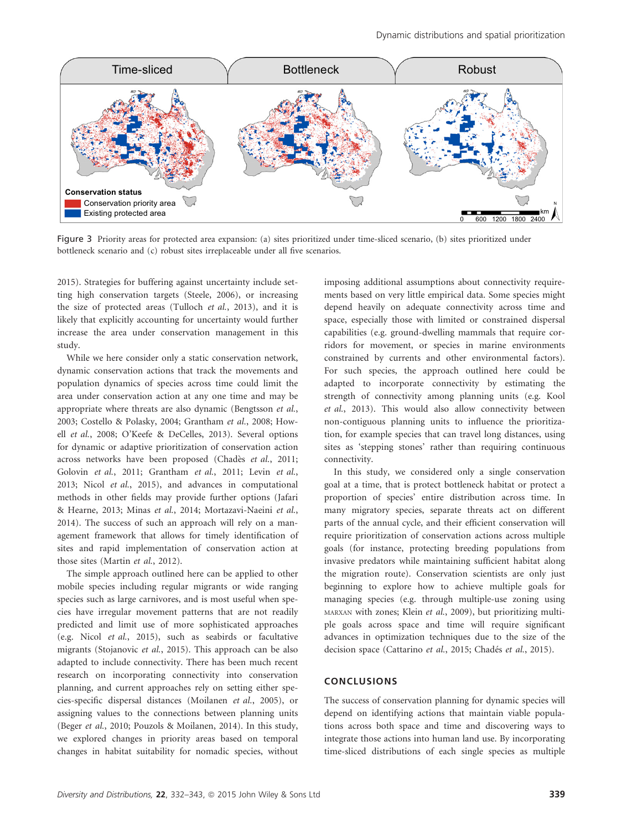

Figure 3 Priority areas for protected area expansion: (a) sites prioritized under time-sliced scenario, (b) sites prioritized under bottleneck scenario and (c) robust sites irreplaceable under all five scenarios.

2015). Strategies for buffering against uncertainty include setting high conservation targets (Steele, 2006), or increasing the size of protected areas (Tulloch et al., 2013), and it is likely that explicitly accounting for uncertainty would further increase the area under conservation management in this study.

While we here consider only a static conservation network, dynamic conservation actions that track the movements and population dynamics of species across time could limit the area under conservation action at any one time and may be appropriate where threats are also dynamic (Bengtsson et al., 2003; Costello & Polasky, 2004; Grantham et al., 2008; Howell et al., 2008; O'Keefe & DeCelles, 2013). Several options for dynamic or adaptive prioritization of conservation action across networks have been proposed (Chadès et al., 2011; Golovin et al., 2011; Grantham et al., 2011; Levin et al., 2013; Nicol et al., 2015), and advances in computational methods in other fields may provide further options (Jafari & Hearne, 2013; Minas et al., 2014; Mortazavi-Naeini et al., 2014). The success of such an approach will rely on a management framework that allows for timely identification of sites and rapid implementation of conservation action at those sites (Martin et al., 2012).

The simple approach outlined here can be applied to other mobile species including regular migrants or wide ranging species such as large carnivores, and is most useful when species have irregular movement patterns that are not readily predicted and limit use of more sophisticated approaches (e.g. Nicol et al., 2015), such as seabirds or facultative migrants (Stojanovic et al., 2015). This approach can be also adapted to include connectivity. There has been much recent research on incorporating connectivity into conservation planning, and current approaches rely on setting either species-specific dispersal distances (Moilanen et al., 2005), or assigning values to the connections between planning units (Beger et al., 2010; Pouzols & Moilanen, 2014). In this study, we explored changes in priority areas based on temporal changes in habitat suitability for nomadic species, without imposing additional assumptions about connectivity requirements based on very little empirical data. Some species might depend heavily on adequate connectivity across time and space, especially those with limited or constrained dispersal capabilities (e.g. ground-dwelling mammals that require corridors for movement, or species in marine environments constrained by currents and other environmental factors). For such species, the approach outlined here could be adapted to incorporate connectivity by estimating the strength of connectivity among planning units (e.g. Kool et al., 2013). This would also allow connectivity between non-contiguous planning units to influence the prioritization, for example species that can travel long distances, using sites as 'stepping stones' rather than requiring continuous connectivity.

In this study, we considered only a single conservation goal at a time, that is protect bottleneck habitat or protect a proportion of species' entire distribution across time. In many migratory species, separate threats act on different parts of the annual cycle, and their efficient conservation will require prioritization of conservation actions across multiple goals (for instance, protecting breeding populations from invasive predators while maintaining sufficient habitat along the migration route). Conservation scientists are only just beginning to explore how to achieve multiple goals for managing species (e.g. through multiple-use zoning using MARXAN with zones; Klein et al., 2009), but prioritizing multiple goals across space and time will require significant advances in optimization techniques due to the size of the decision space (Cattarino et al., 2015; Chadés et al., 2015).

# CONCLUSIONS

The success of conservation planning for dynamic species will depend on identifying actions that maintain viable populations across both space and time and discovering ways to integrate those actions into human land use. By incorporating time-sliced distributions of each single species as multiple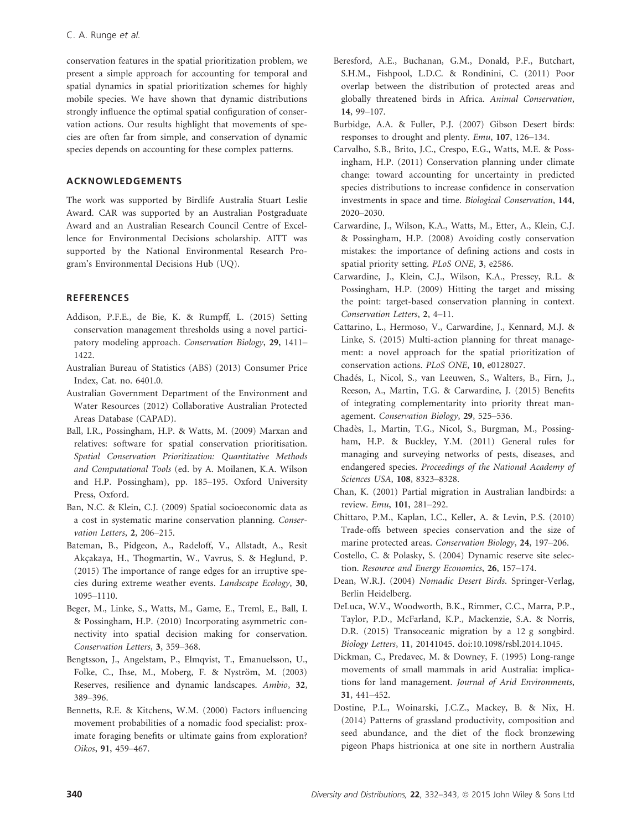conservation features in the spatial prioritization problem, we present a simple approach for accounting for temporal and spatial dynamics in spatial prioritization schemes for highly mobile species. We have shown that dynamic distributions strongly influence the optimal spatial configuration of conservation actions. Our results highlight that movements of species are often far from simple, and conservation of dynamic species depends on accounting for these complex patterns.

# ACKNOWLEDGEMENTS

The work was supported by Birdlife Australia Stuart Leslie Award. CAR was supported by an Australian Postgraduate Award and an Australian Research Council Centre of Excellence for Environmental Decisions scholarship. AITT was supported by the National Environmental Research Program's Environmental Decisions Hub (UQ).

# REFERENCES

- Addison, P.F.E., de Bie, K. & Rumpff, L. (2015) Setting conservation management thresholds using a novel participatory modeling approach. Conservation Biology, 29, 1411– 1422.
- Australian Bureau of Statistics (ABS) (2013) Consumer Price Index, Cat. no. 6401.0.
- Australian Government Department of the Environment and Water Resources (2012) Collaborative Australian Protected Areas Database (CAPAD).
- Ball, I.R., Possingham, H.P. & Watts, M. (2009) Marxan and relatives: software for spatial conservation prioritisation. Spatial Conservation Prioritization: Quantitative Methods and Computational Tools (ed. by A. Moilanen, K.A. Wilson and H.P. Possingham), pp. 185–195. Oxford University Press, Oxford.
- Ban, N.C. & Klein, C.J. (2009) Spatial socioeconomic data as a cost in systematic marine conservation planning. Conservation Letters, 2, 206–215.
- Bateman, B., Pidgeon, A., Radeloff, V., Allstadt, A., Resit Akcakaya, H., Thogmartin, W., Vavrus, S. & Heglund, P. (2015) The importance of range edges for an irruptive species during extreme weather events. Landscape Ecology, 30, 1095–1110.
- Beger, M., Linke, S., Watts, M., Game, E., Treml, E., Ball, I. & Possingham, H.P. (2010) Incorporating asymmetric connectivity into spatial decision making for conservation. Conservation Letters, 3, 359–368.
- Bengtsson, J., Angelstam, P., Elmqvist, T., Emanuelsson, U., Folke, C., Ihse, M., Moberg, F. & Nyström, M.  $(2003)$ Reserves, resilience and dynamic landscapes. Ambio, 32, 389–396.
- Bennetts, R.E. & Kitchens, W.M. (2000) Factors influencing movement probabilities of a nomadic food specialist: proximate foraging benefits or ultimate gains from exploration? Oikos, 91, 459–467.
- Beresford, A.E., Buchanan, G.M., Donald, P.F., Butchart, S.H.M., Fishpool, L.D.C. & Rondinini, C. (2011) Poor overlap between the distribution of protected areas and globally threatened birds in Africa. Animal Conservation, 14, 99–107.
- Burbidge, A.A. & Fuller, P.J. (2007) Gibson Desert birds: responses to drought and plenty. Emu, 107, 126–134.
- Carvalho, S.B., Brito, J.C., Crespo, E.G., Watts, M.E. & Possingham, H.P. (2011) Conservation planning under climate change: toward accounting for uncertainty in predicted species distributions to increase confidence in conservation investments in space and time. Biological Conservation, 144, 2020–2030.
- Carwardine, J., Wilson, K.A., Watts, M., Etter, A., Klein, C.J. & Possingham, H.P. (2008) Avoiding costly conservation mistakes: the importance of defining actions and costs in spatial priority setting. PLoS ONE, 3, e2586.
- Carwardine, J., Klein, C.J., Wilson, K.A., Pressey, R.L. & Possingham, H.P. (2009) Hitting the target and missing the point: target-based conservation planning in context. Conservation Letters, 2, 4–11.
- Cattarino, L., Hermoso, V., Carwardine, J., Kennard, M.J. & Linke, S. (2015) Multi-action planning for threat management: a novel approach for the spatial prioritization of conservation actions. PLoS ONE, 10, e0128027.
- Chades, I., Nicol, S., van Leeuwen, S., Walters, B., Firn, J., Reeson, A., Martin, T.G. & Carwardine, J. (2015) Benefits of integrating complementarity into priority threat management. Conservation Biology, 29, 525–536.
- Chades, I., Martin, T.G., Nicol, S., Burgman, M., Possingham, H.P. & Buckley, Y.M. (2011) General rules for managing and surveying networks of pests, diseases, and endangered species. Proceedings of the National Academy of Sciences USA, 108, 8323–8328.
- Chan, K. (2001) Partial migration in Australian landbirds: a review. Emu, 101, 281–292.
- Chittaro, P.M., Kaplan, I.C., Keller, A. & Levin, P.S. (2010) Trade-offs between species conservation and the size of marine protected areas. Conservation Biology, 24, 197–206.
- Costello, C. & Polasky, S. (2004) Dynamic reserve site selection. Resource and Energy Economics, 26, 157-174.
- Dean, W.R.J. (2004) Nomadic Desert Birds. Springer-Verlag, Berlin Heidelberg.
- DeLuca, W.V., Woodworth, B.K., Rimmer, C.C., Marra, P.P., Taylor, P.D., McFarland, K.P., Mackenzie, S.A. & Norris, D.R. (2015) Transoceanic migration by a 12 g songbird. Biology Letters, 11, 20141045. doi[:10.1098/rsbl.2014.1045](http://dx.doi.org/10.1098/rsbl.2014.1045).
- Dickman, C., Predavec, M. & Downey, F. (1995) Long-range movements of small mammals in arid Australia: implications for land management. Journal of Arid Environments, 31, 441–452.
- Dostine, P.L., Woinarski, J.C.Z., Mackey, B. & Nix, H. (2014) Patterns of grassland productivity, composition and seed abundance, and the diet of the flock bronzewing pigeon Phaps histrionica at one site in northern Australia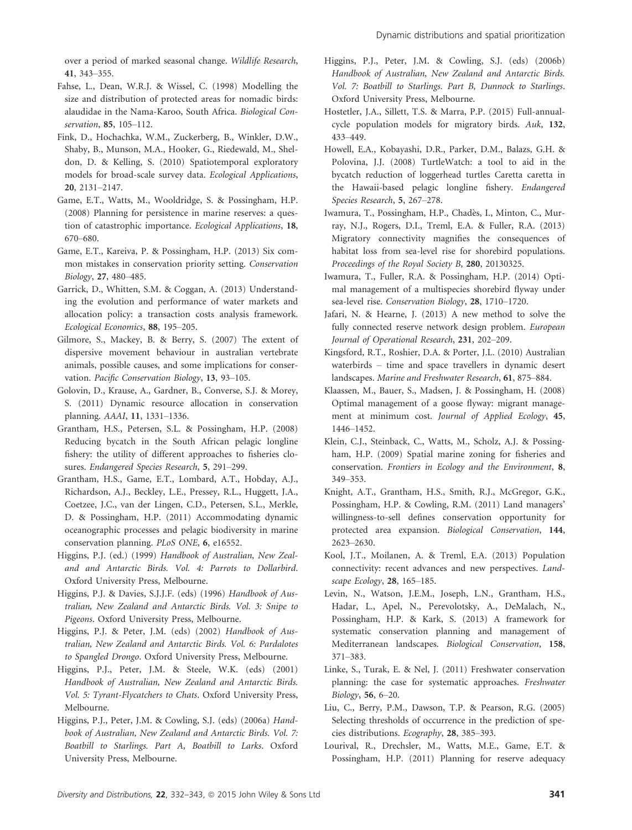over a period of marked seasonal change. Wildlife Research, 41, 343–355.

- Fahse, L., Dean, W.R.J. & Wissel, C. (1998) Modelling the size and distribution of protected areas for nomadic birds: alaudidae in the Nama-Karoo, South Africa. Biological Conservation, 85, 105–112.
- Fink, D., Hochachka, W.M., Zuckerberg, B., Winkler, D.W., Shaby, B., Munson, M.A., Hooker, G., Riedewald, M., Sheldon, D. & Kelling, S. (2010) Spatiotemporal exploratory models for broad-scale survey data. Ecological Applications, 20, 2131–2147.
- Game, E.T., Watts, M., Wooldridge, S. & Possingham, H.P. (2008) Planning for persistence in marine reserves: a question of catastrophic importance. Ecological Applications, 18, 670–680.
- Game, E.T., Kareiva, P. & Possingham, H.P. (2013) Six common mistakes in conservation priority setting. Conservation Biology, 27, 480–485.
- Garrick, D., Whitten, S.M. & Coggan, A. (2013) Understanding the evolution and performance of water markets and allocation policy: a transaction costs analysis framework. Ecological Economics, 88, 195–205.
- Gilmore, S., Mackey, B. & Berry, S. (2007) The extent of dispersive movement behaviour in australian vertebrate animals, possible causes, and some implications for conservation. Pacific Conservation Biology, 13, 93–105.
- Golovin, D., Krause, A., Gardner, B., Converse, S.J. & Morey, S. (2011) Dynamic resource allocation in conservation planning. AAAI, 11, 1331–1336.
- Grantham, H.S., Petersen, S.L. & Possingham, H.P. (2008) Reducing bycatch in the South African pelagic longline fishery: the utility of different approaches to fisheries closures. Endangered Species Research, 5, 291–299.
- Grantham, H.S., Game, E.T., Lombard, A.T., Hobday, A.J., Richardson, A.J., Beckley, L.E., Pressey, R.L., Huggett, J.A., Coetzee, J.C., van der Lingen, C.D., Petersen, S.L., Merkle, D. & Possingham, H.P. (2011) Accommodating dynamic oceanographic processes and pelagic biodiversity in marine conservation planning. PLoS ONE, 6, e16552.
- Higgins, P.J. (ed.) (1999) Handbook of Australian, New Zealand and Antarctic Birds. Vol. 4: Parrots to Dollarbird. Oxford University Press, Melbourne.
- Higgins, P.J. & Davies, S.J.J.F. (eds) (1996) Handbook of Australian, New Zealand and Antarctic Birds. Vol. 3: Snipe to Pigeons. Oxford University Press, Melbourne.
- Higgins, P.J. & Peter, J.M. (eds) (2002) Handbook of Australian, New Zealand and Antarctic Birds. Vol. 6: Pardalotes to Spangled Drongo. Oxford University Press, Melbourne.
- Higgins, P.J., Peter, J.M. & Steele, W.K. (eds) (2001) Handbook of Australian, New Zealand and Antarctic Birds. Vol. 5: Tyrant-Flycatchers to Chats. Oxford University Press, Melbourne.
- Higgins, P.J., Peter, J.M. & Cowling, S.J. (eds) (2006a) Handbook of Australian, New Zealand and Antarctic Birds. Vol. 7: Boatbill to Starlings. Part A, Boatbill to Larks. Oxford University Press, Melbourne.
- Higgins, P.J., Peter, J.M. & Cowling, S.J. (eds) (2006b) Handbook of Australian, New Zealand and Antarctic Birds. Vol. 7: Boatbill to Starlings. Part B, Dunnock to Starlings. Oxford University Press, Melbourne.
- Hostetler, J.A., Sillett, T.S. & Marra, P.P. (2015) Full-annualcycle population models for migratory birds. Auk, 132, 433–449.
- Howell, E.A., Kobayashi, D.R., Parker, D.M., Balazs, G.H. & Polovina, J.J. (2008) TurtleWatch: a tool to aid in the bycatch reduction of loggerhead turtles Caretta caretta in the Hawaii-based pelagic longline fishery. Endangered Species Research, 5, 267–278.
- Iwamura, T., Possingham, H.P., Chades, I., Minton, C., Murray, N.J., Rogers, D.I., Treml, E.A. & Fuller, R.A. (2013) Migratory connectivity magnifies the consequences of habitat loss from sea-level rise for shorebird populations. Proceedings of the Royal Society B, 280, 20130325.
- Iwamura, T., Fuller, R.A. & Possingham, H.P. (2014) Optimal management of a multispecies shorebird flyway under sea-level rise. Conservation Biology, 28, 1710–1720.
- Jafari, N. & Hearne, J. (2013) A new method to solve the fully connected reserve network design problem. European Journal of Operational Research, 231, 202–209.
- Kingsford, R.T., Roshier, D.A. & Porter, J.L. (2010) Australian waterbirds – time and space travellers in dynamic desert landscapes. Marine and Freshwater Research, 61, 875–884.
- Klaassen, M., Bauer, S., Madsen, J. & Possingham, H. (2008) Optimal management of a goose flyway: migrant management at minimum cost. Journal of Applied Ecology, 45, 1446–1452.
- Klein, C.J., Steinback, C., Watts, M., Scholz, A.J. & Possingham, H.P. (2009) Spatial marine zoning for fisheries and conservation. Frontiers in Ecology and the Environment, 8, 349–353.
- Knight, A.T., Grantham, H.S., Smith, R.J., McGregor, G.K., Possingham, H.P. & Cowling, R.M. (2011) Land managers' willingness-to-sell defines conservation opportunity for protected area expansion. Biological Conservation, 144, 2623–2630.
- Kool, J.T., Moilanen, A. & Treml, E.A. (2013) Population connectivity: recent advances and new perspectives. Landscape Ecology, 28, 165–185.
- Levin, N., Watson, J.E.M., Joseph, L.N., Grantham, H.S., Hadar, L., Apel, N., Perevolotsky, A., DeMalach, N., Possingham, H.P. & Kark, S. (2013) A framework for systematic conservation planning and management of Mediterranean landscapes. Biological Conservation, 158, 371–383.
- Linke, S., Turak, E. & Nel, J. (2011) Freshwater conservation planning: the case for systematic approaches. Freshwater Biology, 56, 6–20.
- Liu, C., Berry, P.M., Dawson, T.P. & Pearson, R.G. (2005) Selecting thresholds of occurrence in the prediction of species distributions. Ecography, 28, 385–393.
- Lourival, R., Drechsler, M., Watts, M.E., Game, E.T. & Possingham, H.P. (2011) Planning for reserve adequacy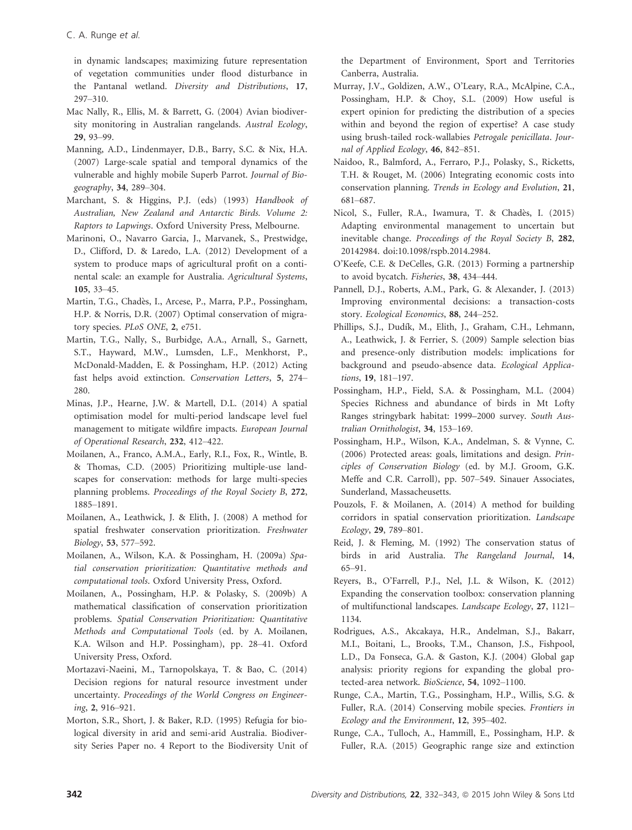in dynamic landscapes; maximizing future representation of vegetation communities under flood disturbance in the Pantanal wetland. Diversity and Distributions, 17, 297–310.

- Mac Nally, R., Ellis, M. & Barrett, G. (2004) Avian biodiversity monitoring in Australian rangelands. Austral Ecology, 29, 93–99.
- Manning, A.D., Lindenmayer, D.B., Barry, S.C. & Nix, H.A. (2007) Large-scale spatial and temporal dynamics of the vulnerable and highly mobile Superb Parrot. Journal of Biogeography, 34, 289–304.
- Marchant, S. & Higgins, P.J. (eds) (1993) Handbook of Australian, New Zealand and Antarctic Birds. Volume 2: Raptors to Lapwings. Oxford University Press, Melbourne.
- Marinoni, O., Navarro Garcia, J., Marvanek, S., Prestwidge, D., Clifford, D. & Laredo, L.A. (2012) Development of a system to produce maps of agricultural profit on a continental scale: an example for Australia. Agricultural Systems, 105, 33–45.
- Martin, T.G., Chadès, I., Arcese, P., Marra, P.P., Possingham, H.P. & Norris, D.R. (2007) Optimal conservation of migratory species. PLoS ONE, 2, e751.
- Martin, T.G., Nally, S., Burbidge, A.A., Arnall, S., Garnett, S.T., Hayward, M.W., Lumsden, L.F., Menkhorst, P., McDonald-Madden, E. & Possingham, H.P. (2012) Acting fast helps avoid extinction. Conservation Letters, 5, 274– 280.
- Minas, J.P., Hearne, J.W. & Martell, D.L. (2014) A spatial optimisation model for multi-period landscape level fuel management to mitigate wildfire impacts. European Journal of Operational Research, 232, 412–422.
- Moilanen, A., Franco, A.M.A., Early, R.I., Fox, R., Wintle, B. & Thomas, C.D. (2005) Prioritizing multiple-use landscapes for conservation: methods for large multi-species planning problems. Proceedings of the Royal Society B, 272, 1885–1891.
- Moilanen, A., Leathwick, J. & Elith, J. (2008) A method for spatial freshwater conservation prioritization. Freshwater Biology, 53, 577–592.
- Moilanen, A., Wilson, K.A. & Possingham, H. (2009a) Spatial conservation prioritization: Quantitative methods and computational tools. Oxford University Press, Oxford.
- Moilanen, A., Possingham, H.P. & Polasky, S. (2009b) A mathematical classification of conservation prioritization problems. Spatial Conservation Prioritization: Quantitative Methods and Computational Tools (ed. by A. Moilanen, K.A. Wilson and H.P. Possingham), pp. 28–41. Oxford University Press, Oxford.
- Mortazavi-Naeini, M., Tarnopolskaya, T. & Bao, C. (2014) Decision regions for natural resource investment under uncertainty. Proceedings of the World Congress on Engineering, 2, 916–921.
- Morton, S.R., Short, J. & Baker, R.D. (1995) Refugia for biological diversity in arid and semi-arid Australia. Biodiversity Series Paper no. 4 Report to the Biodiversity Unit of

the Department of Environment, Sport and Territories Canberra, Australia.

- Murray, J.V., Goldizen, A.W., O'Leary, R.A., McAlpine, C.A., Possingham, H.P. & Choy, S.L. (2009) How useful is expert opinion for predicting the distribution of a species within and beyond the region of expertise? A case study using brush-tailed rock-wallabies Petrogale penicillata. Journal of Applied Ecology, 46, 842–851.
- Naidoo, R., Balmford, A., Ferraro, P.J., Polasky, S., Ricketts, T.H. & Rouget, M. (2006) Integrating economic costs into conservation planning. Trends in Ecology and Evolution, 21, 681–687.
- Nicol, S., Fuller, R.A., Iwamura, T. & Chades, I. (2015) Adapting environmental management to uncertain but inevitable change. Proceedings of the Royal Society B, 282, 20142984. doi:[10.1098/rspb.2014.2984](http://dx.doi.org/10.1098/rspb.2014.2984).
- O'Keefe, C.E. & DeCelles, G.R. (2013) Forming a partnership to avoid bycatch. Fisheries, 38, 434–444.
- Pannell, D.J., Roberts, A.M., Park, G. & Alexander, J. (2013) Improving environmental decisions: a transaction-costs story. Ecological Economics, 88, 244–252.
- Phillips, S.J., Dudık, M., Elith, J., Graham, C.H., Lehmann, A., Leathwick, J. & Ferrier, S. (2009) Sample selection bias and presence-only distribution models: implications for background and pseudo-absence data. Ecological Applications, 19, 181–197.
- Possingham, H.P., Field, S.A. & Possingham, M.L. (2004) Species Richness and abundance of birds in Mt Lofty Ranges stringybark habitat: 1999–2000 survey. South Australian Ornithologist, 34, 153–169.
- Possingham, H.P., Wilson, K.A., Andelman, S. & Vynne, C. (2006) Protected areas: goals, limitations and design. Principles of Conservation Biology (ed. by M.J. Groom, G.K. Meffe and C.R. Carroll), pp. 507–549. Sinauer Associates, Sunderland, Massacheusetts.
- Pouzols, F. & Moilanen, A. (2014) A method for building corridors in spatial conservation prioritization. Landscape Ecology, 29, 789–801.
- Reid, J. & Fleming, M. (1992) The conservation status of birds in arid Australia. The Rangeland Journal, 14, 65–91.
- Reyers, B., O'Farrell, P.J., Nel, J.L. & Wilson, K. (2012) Expanding the conservation toolbox: conservation planning of multifunctional landscapes. Landscape Ecology, 27, 1121– 1134.
- Rodrigues, A.S., Akcakaya, H.R., Andelman, S.J., Bakarr, M.I., Boitani, L., Brooks, T.M., Chanson, J.S., Fishpool, L.D., Da Fonseca, G.A. & Gaston, K.J. (2004) Global gap analysis: priority regions for expanding the global protected-area network. BioScience, 54, 1092–1100.
- Runge, C.A., Martin, T.G., Possingham, H.P., Willis, S.G. & Fuller, R.A. (2014) Conserving mobile species. Frontiers in Ecology and the Environment, 12, 395–402.
- Runge, C.A., Tulloch, A., Hammill, E., Possingham, H.P. & Fuller, R.A. (2015) Geographic range size and extinction